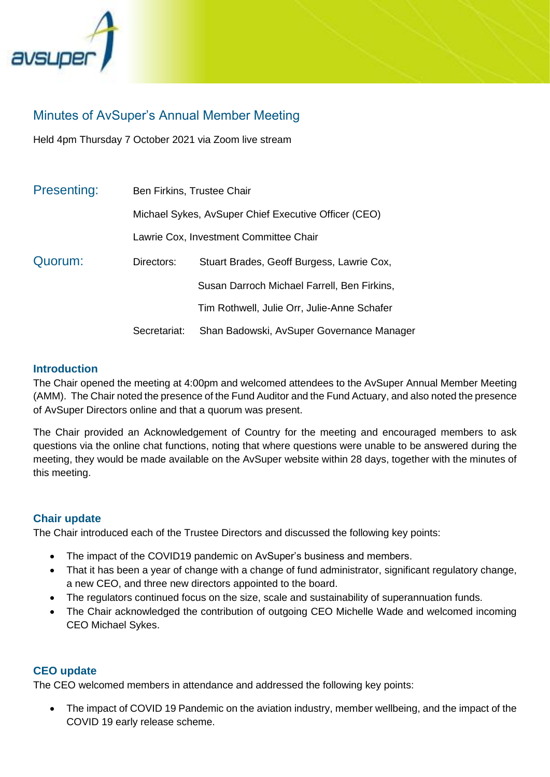

# Minutes of AvSuper's Annual Member Meeting

Held 4pm Thursday 7 October 2021 via Zoom live stream

| Presenting: | Ben Firkins, Trustee Chair                           |                                             |  |  |  |
|-------------|------------------------------------------------------|---------------------------------------------|--|--|--|
|             | Michael Sykes, AvSuper Chief Executive Officer (CEO) |                                             |  |  |  |
|             | Lawrie Cox, Investment Committee Chair               |                                             |  |  |  |
| Quorum:     | Directors:                                           | Stuart Brades, Geoff Burgess, Lawrie Cox,   |  |  |  |
|             |                                                      | Susan Darroch Michael Farrell, Ben Firkins, |  |  |  |
|             |                                                      | Tim Rothwell, Julie Orr, Julie-Anne Schafer |  |  |  |
|             | Secretariat:                                         | Shan Badowski, AvSuper Governance Manager   |  |  |  |

#### **Introduction**

The Chair opened the meeting at 4:00pm and welcomed attendees to the AvSuper Annual Member Meeting (AMM). The Chair noted the presence of the Fund Auditor and the Fund Actuary, and also noted the presence of AvSuper Directors online and that a quorum was present.

The Chair provided an Acknowledgement of Country for the meeting and encouraged members to ask questions via the online chat functions, noting that where questions were unable to be answered during the meeting, they would be made available on the AvSuper website within 28 days, together with the minutes of this meeting.

## **Chair update**

The Chair introduced each of the Trustee Directors and discussed the following key points:

- The impact of the COVID19 pandemic on AvSuper's business and members.
- That it has been a year of change with a change of fund administrator, significant regulatory change, a new CEO, and three new directors appointed to the board.
- The regulators continued focus on the size, scale and sustainability of superannuation funds.
- The Chair acknowledged the contribution of outgoing CEO Michelle Wade and welcomed incoming CEO Michael Sykes.

#### **CEO update**

The CEO welcomed members in attendance and addressed the following key points:

• The impact of COVID 19 Pandemic on the aviation industry, member wellbeing, and the impact of the COVID 19 early release scheme.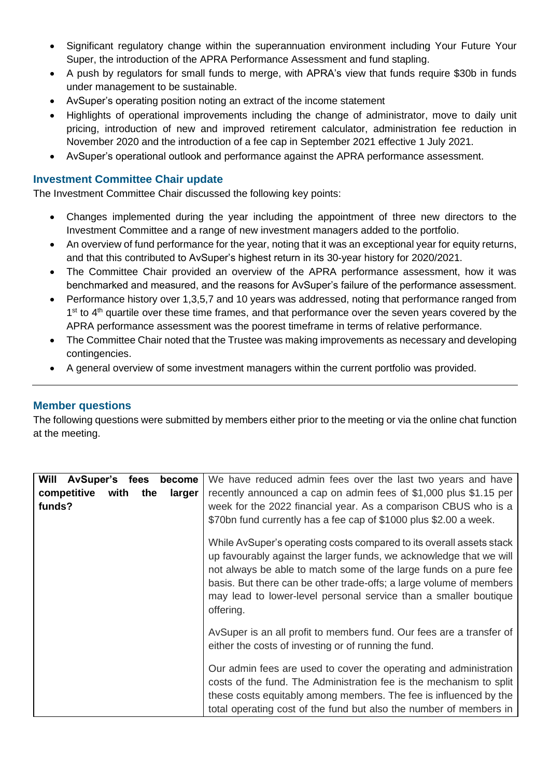- Significant regulatory change within the superannuation environment including Your Future Your Super, the introduction of the APRA Performance Assessment and fund stapling.
- A push by regulators for small funds to merge, with APRA's view that funds require \$30b in funds under management to be sustainable.
- AvSuper's operating position noting an extract of the income statement
- Highlights of operational improvements including the change of administrator, move to daily unit pricing, introduction of new and improved retirement calculator, administration fee reduction in November 2020 and the introduction of a fee cap in September 2021 effective 1 July 2021.
- AvSuper's operational outlook and performance against the APRA performance assessment.

## **Investment Committee Chair update**

The Investment Committee Chair discussed the following key points:

- Changes implemented during the year including the appointment of three new directors to the Investment Committee and a range of new investment managers added to the portfolio.
- An overview of fund performance for the year, noting that it was an exceptional year for equity returns, and that this contributed to AvSuper's highest return in its 30-year history for 2020/2021.
- The Committee Chair provided an overview of the APRA performance assessment, how it was benchmarked and measured, and the reasons for AvSuper's failure of the performance assessment.
- Performance history over 1,3,5,7 and 10 years was addressed, noting that performance ranged from 1<sup>st</sup> to 4<sup>th</sup> quartile over these time frames, and that performance over the seven years covered by the APRA performance assessment was the poorest timeframe in terms of relative performance.
- The Committee Chair noted that the Trustee was making improvements as necessary and developing contingencies.
- A general overview of some investment managers within the current portfolio was provided.

## **Member questions**

The following questions were submitted by members either prior to the meeting or via the online chat function at the meeting.

| <b>Will</b><br><b>AvSuper's</b><br>fees<br>become<br>competitive<br>with<br>the<br>larger<br>funds? | We have reduced admin fees over the last two years and have<br>recently announced a cap on admin fees of \$1,000 plus \$1.15 per<br>week for the 2022 financial year. As a comparison CBUS who is a<br>\$70bn fund currently has a fee cap of \$1000 plus \$2.00 a week.                                                                                                 |
|-----------------------------------------------------------------------------------------------------|--------------------------------------------------------------------------------------------------------------------------------------------------------------------------------------------------------------------------------------------------------------------------------------------------------------------------------------------------------------------------|
|                                                                                                     | While AvSuper's operating costs compared to its overall assets stack<br>up favourably against the larger funds, we acknowledge that we will<br>not always be able to match some of the large funds on a pure fee<br>basis. But there can be other trade-offs; a large volume of members<br>may lead to lower-level personal service than a smaller boutique<br>offering. |
|                                                                                                     | AvSuper is an all profit to members fund. Our fees are a transfer of<br>either the costs of investing or of running the fund.                                                                                                                                                                                                                                            |
|                                                                                                     | Our admin fees are used to cover the operating and administration<br>costs of the fund. The Administration fee is the mechanism to split<br>these costs equitably among members. The fee is influenced by the<br>total operating cost of the fund but also the number of members in                                                                                      |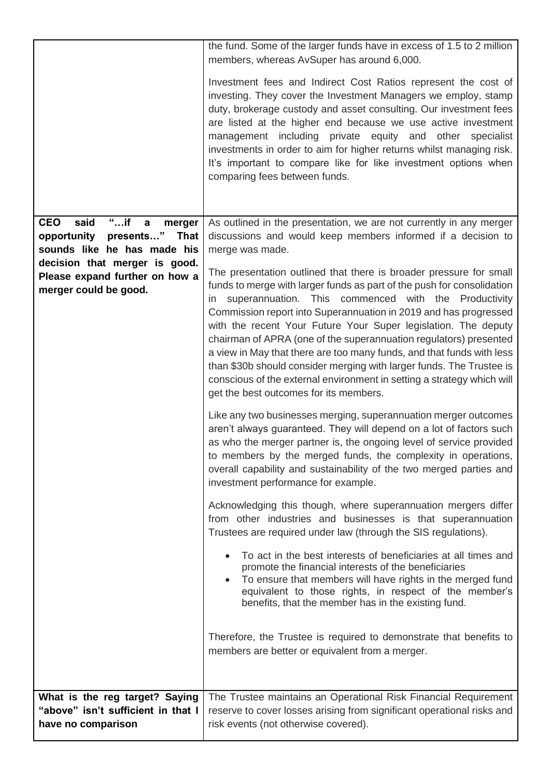|                                                                                                                                                                                                                   | the fund. Some of the larger funds have in excess of 1.5 to 2 million<br>members, whereas AvSuper has around 6,000.<br>Investment fees and Indirect Cost Ratios represent the cost of<br>investing. They cover the Investment Managers we employ, stamp<br>duty, brokerage custody and asset consulting. Our investment fees<br>are listed at the higher end because we use active investment<br>management including private equity and other specialist<br>investments in order to aim for higher returns whilst managing risk.<br>It's important to compare like for like investment options when<br>comparing fees between funds.                                                                                                                                                                                                                                                                                                                                                                                                                                                                                                                                                                                                                                                                                                                                                                                                                                                                                                                                                                                                                                                                                                                                                                                                                                                  |
|-------------------------------------------------------------------------------------------------------------------------------------------------------------------------------------------------------------------|----------------------------------------------------------------------------------------------------------------------------------------------------------------------------------------------------------------------------------------------------------------------------------------------------------------------------------------------------------------------------------------------------------------------------------------------------------------------------------------------------------------------------------------------------------------------------------------------------------------------------------------------------------------------------------------------------------------------------------------------------------------------------------------------------------------------------------------------------------------------------------------------------------------------------------------------------------------------------------------------------------------------------------------------------------------------------------------------------------------------------------------------------------------------------------------------------------------------------------------------------------------------------------------------------------------------------------------------------------------------------------------------------------------------------------------------------------------------------------------------------------------------------------------------------------------------------------------------------------------------------------------------------------------------------------------------------------------------------------------------------------------------------------------------------------------------------------------------------------------------------------------|
| <b>CEO</b><br>said<br>$"$ if<br>$\mathbf a$<br>merger<br>opportunity<br>presents" That<br>sounds like he has made his<br>decision that merger is good.<br>Please expand further on how a<br>merger could be good. | As outlined in the presentation, we are not currently in any merger<br>discussions and would keep members informed if a decision to<br>merge was made.<br>The presentation outlined that there is broader pressure for small<br>funds to merge with larger funds as part of the push for consolidation<br>in superannuation. This commenced with the Productivity<br>Commission report into Superannuation in 2019 and has progressed<br>with the recent Your Future Your Super legislation. The deputy<br>chairman of APRA (one of the superannuation regulators) presented<br>a view in May that there are too many funds, and that funds with less<br>than \$30b should consider merging with larger funds. The Trustee is<br>conscious of the external environment in setting a strategy which will<br>get the best outcomes for its members.<br>Like any two businesses merging, superannuation merger outcomes<br>aren't always guaranteed. They will depend on a lot of factors such<br>as who the merger partner is, the ongoing level of service provided<br>to members by the merged funds, the complexity in operations,<br>overall capability and sustainability of the two merged parties and<br>investment performance for example.<br>Acknowledging this though, where superannuation mergers differ<br>from other industries and businesses is that superannuation<br>Trustees are required under law (through the SIS regulations).<br>To act in the best interests of beneficiaries at all times and<br>promote the financial interests of the beneficiaries<br>To ensure that members will have rights in the merged fund<br>equivalent to those rights, in respect of the member's<br>benefits, that the member has in the existing fund.<br>Therefore, the Trustee is required to demonstrate that benefits to<br>members are better or equivalent from a merger. |
| What is the reg target? Saying<br>"above" isn't sufficient in that I<br>have no comparison                                                                                                                        | The Trustee maintains an Operational Risk Financial Requirement<br>reserve to cover losses arising from significant operational risks and<br>risk events (not otherwise covered).                                                                                                                                                                                                                                                                                                                                                                                                                                                                                                                                                                                                                                                                                                                                                                                                                                                                                                                                                                                                                                                                                                                                                                                                                                                                                                                                                                                                                                                                                                                                                                                                                                                                                                      |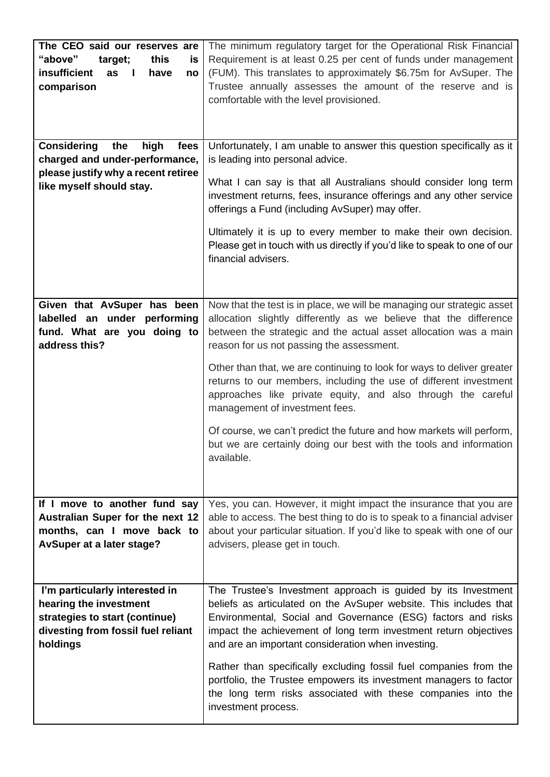| The CEO said our reserves are<br>"above"<br>this<br>target;<br>is<br>insufficient<br>have<br>as<br>no<br>comparison<br><b>Considering</b><br>the<br>high<br>fees | The minimum regulatory target for the Operational Risk Financial<br>Requirement is at least 0.25 per cent of funds under management<br>(FUM). This translates to approximately \$6.75m for AvSuper. The<br>Trustee annually assesses the amount of the reserve and is<br>comfortable with the level provisioned.<br>Unfortunately, I am unable to answer this question specifically as it |
|------------------------------------------------------------------------------------------------------------------------------------------------------------------|-------------------------------------------------------------------------------------------------------------------------------------------------------------------------------------------------------------------------------------------------------------------------------------------------------------------------------------------------------------------------------------------|
| charged and under-performance,                                                                                                                                   | is leading into personal advice.                                                                                                                                                                                                                                                                                                                                                          |
| please justify why a recent retiree<br>like myself should stay.                                                                                                  | What I can say is that all Australians should consider long term<br>investment returns, fees, insurance offerings and any other service<br>offerings a Fund (including AvSuper) may offer.                                                                                                                                                                                                |
|                                                                                                                                                                  | Ultimately it is up to every member to make their own decision.<br>Please get in touch with us directly if you'd like to speak to one of our<br>financial advisers.                                                                                                                                                                                                                       |
| Given that AvSuper has been                                                                                                                                      | Now that the test is in place, we will be managing our strategic asset                                                                                                                                                                                                                                                                                                                    |
| labelled an under performing<br>fund. What are you doing to<br>address this?                                                                                     | allocation slightly differently as we believe that the difference<br>between the strategic and the actual asset allocation was a main<br>reason for us not passing the assessment.                                                                                                                                                                                                        |
|                                                                                                                                                                  | Other than that, we are continuing to look for ways to deliver greater<br>returns to our members, including the use of different investment<br>approaches like private equity, and also through the careful<br>management of investment fees.                                                                                                                                             |
|                                                                                                                                                                  | Of course, we can't predict the future and how markets will perform,<br>but we are certainly doing our best with the tools and information<br>available.                                                                                                                                                                                                                                  |
| If I move to another fund say                                                                                                                                    | Yes, you can. However, it might impact the insurance that you are                                                                                                                                                                                                                                                                                                                         |
| Australian Super for the next 12                                                                                                                                 | able to access. The best thing to do is to speak to a financial adviser                                                                                                                                                                                                                                                                                                                   |
| months, can I move back to<br>AvSuper at a later stage?                                                                                                          | about your particular situation. If you'd like to speak with one of our<br>advisers, please get in touch.                                                                                                                                                                                                                                                                                 |
|                                                                                                                                                                  |                                                                                                                                                                                                                                                                                                                                                                                           |
| I'm particularly interested in                                                                                                                                   | The Trustee's Investment approach is guided by its Investment                                                                                                                                                                                                                                                                                                                             |
| hearing the investment<br>strategies to start (continue)                                                                                                         | beliefs as articulated on the AvSuper website. This includes that<br>Environmental, Social and Governance (ESG) factors and risks                                                                                                                                                                                                                                                         |
| divesting from fossil fuel reliant<br>holdings                                                                                                                   | impact the achievement of long term investment return objectives<br>and are an important consideration when investing.                                                                                                                                                                                                                                                                    |
|                                                                                                                                                                  | Rather than specifically excluding fossil fuel companies from the<br>portfolio, the Trustee empowers its investment managers to factor<br>the long term risks associated with these companies into the<br>investment process.                                                                                                                                                             |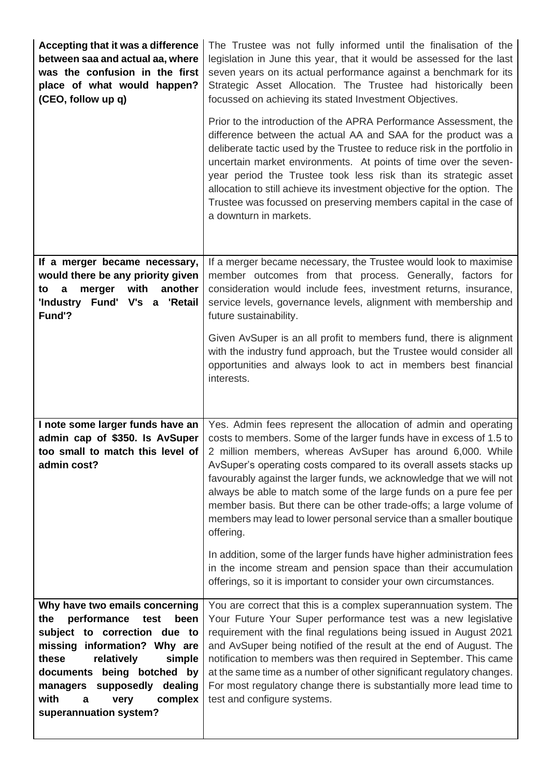| Accepting that it was a difference<br>between saa and actual aa, where<br>was the confusion in the first<br>place of what would happen?<br>(CEO, follow up q)                                                                                                                                      | The Trustee was not fully informed until the finalisation of the<br>legislation in June this year, that it would be assessed for the last<br>seven years on its actual performance against a benchmark for its<br>Strategic Asset Allocation. The Trustee had historically been<br>focussed on achieving its stated Investment Objectives.                                                                                                                                                                                                                                       |
|----------------------------------------------------------------------------------------------------------------------------------------------------------------------------------------------------------------------------------------------------------------------------------------------------|----------------------------------------------------------------------------------------------------------------------------------------------------------------------------------------------------------------------------------------------------------------------------------------------------------------------------------------------------------------------------------------------------------------------------------------------------------------------------------------------------------------------------------------------------------------------------------|
|                                                                                                                                                                                                                                                                                                    | Prior to the introduction of the APRA Performance Assessment, the<br>difference between the actual AA and SAA for the product was a<br>deliberate tactic used by the Trustee to reduce risk in the portfolio in<br>uncertain market environments. At points of time over the seven-<br>year period the Trustee took less risk than its strategic asset<br>allocation to still achieve its investment objective for the option. The<br>Trustee was focussed on preserving members capital in the case of<br>a downturn in markets.                                                |
| If a merger became necessary,<br>would there be any priority given<br>merger<br>with<br>another<br>to<br>a<br>'Industry Fund' V's a 'Retail<br>Fund'?                                                                                                                                              | If a merger became necessary, the Trustee would look to maximise<br>member outcomes from that process. Generally, factors for<br>consideration would include fees, investment returns, insurance,<br>service levels, governance levels, alignment with membership and<br>future sustainability.                                                                                                                                                                                                                                                                                  |
|                                                                                                                                                                                                                                                                                                    | Given AvSuper is an all profit to members fund, there is alignment<br>with the industry fund approach, but the Trustee would consider all<br>opportunities and always look to act in members best financial<br>interests.                                                                                                                                                                                                                                                                                                                                                        |
| I note some larger funds have an<br>admin cap of \$350. Is AvSuper<br>too small to match this level of<br>admin cost?                                                                                                                                                                              | Yes. Admin fees represent the allocation of admin and operating<br>costs to members. Some of the larger funds have in excess of 1.5 to<br>2 million members, whereas AvSuper has around 6,000. While<br>AvSuper's operating costs compared to its overall assets stacks up<br>favourably against the larger funds, we acknowledge that we will not<br>always be able to match some of the large funds on a pure fee per<br>member basis. But there can be other trade-offs; a large volume of<br>members may lead to lower personal service than a smaller boutique<br>offering. |
|                                                                                                                                                                                                                                                                                                    | In addition, some of the larger funds have higher administration fees<br>in the income stream and pension space than their accumulation<br>offerings, so it is important to consider your own circumstances.                                                                                                                                                                                                                                                                                                                                                                     |
| Why have two emails concerning<br>performance<br>the<br>test<br>been<br>subject to correction due to<br>missing information? Why are<br>these<br>relatively<br>simple<br>documents being botched by<br>supposedly<br>dealing<br>managers<br>with<br>complex<br>a<br>very<br>superannuation system? | You are correct that this is a complex superannuation system. The<br>Your Future Your Super performance test was a new legislative<br>requirement with the final regulations being issued in August 2021<br>and AvSuper being notified of the result at the end of August. The<br>notification to members was then required in September. This came<br>at the same time as a number of other significant regulatory changes.<br>For most regulatory change there is substantially more lead time to<br>test and configure systems.                                               |